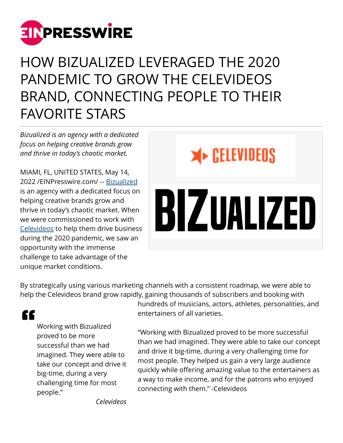

# HOW BIZUALIZED LEVERAGED THE 2020 PANDEMIC TO GROW THE CELEVIDEOS BRAND, CONNECTING PEOPLE TO THEIR FAVORITE STARS

*Bizualized is an agency with a dedicated focus on helping creative brands grow and thrive in today's chaotic market.*

MIAMI, FL, UNITED STATES, May 14, 2022 /[EINPresswire.com](http://www.einpresswire.com)/ -- [Bizualized](http://www.bizualized.com) is an agency with a dedicated focus on helping creative brands grow and thrive in today's chaotic market. When we were commissioned to work with [Celevideos](http://www.celevideos.com) to help them drive business during the 2020 pandemic, we saw an opportunity with the immense challenge to take advantage of the unique market conditions.



By strategically using various marketing channels with a consistent roadmap, we were able to help the Celevideos brand grow rapidly, gaining thousands of subscribers and booking with

"

Working with Bizualized proved to be more successful than we had imagined. They were able to take our concept and drive it big-time, during a very challenging time for most people."

hundreds of musicians, actors, athletes, personalities, and entertainers of all varieties.

"Working with Bizualized proved to be more successful than we had imagined. They were able to take our concept and drive it big-time, during a very challenging time for most people. They helped us gain a very large audience quickly while offering amazing value to the entertainers as a way to make income, and for the patrons who enjoyed connecting with them." -Celevideos

*Celevideos*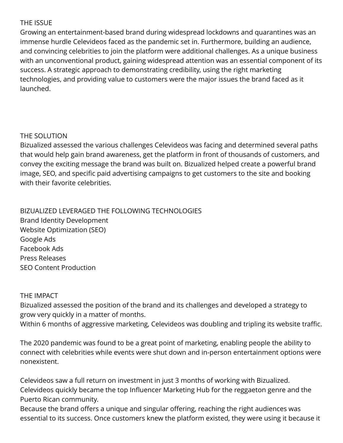### THE ISSUE

Growing an entertainment-based brand during widespread lockdowns and quarantines was an immense hurdle Celevideos faced as the pandemic set in. Furthermore, building an audience, and convincing celebrities to join the platform were additional challenges. As a unique business with an unconventional product, gaining widespread attention was an essential component of its success. A strategic approach to demonstrating credibility, using the right marketing technologies, and providing value to customers were the major issues the brand faced as it launched.

## THE SOLUTION

Bizualized assessed the various challenges Celevideos was facing and determined several paths that would help gain brand awareness, get the platform in front of thousands of customers, and convey the exciting message the brand was built on. Bizualized helped create a powerful brand image, SEO, and specific paid advertising campaigns to get customers to the site and booking with their favorite celebrities.

BIZUALIZED LEVERAGED THE FOLLOWING TECHNOLOGIES Brand Identity Development Website Optimization (SEO) Google Ads Facebook Ads Press Releases SEO Content Production

### THE IMPACT

Bizualized assessed the position of the brand and its challenges and developed a strategy to grow very quickly in a matter of months. Within 6 months of aggressive marketing, Celevideos was doubling and tripling its website traffic.

The 2020 pandemic was found to be a great point of marketing, enabling people the ability to connect with celebrities while events were shut down and in-person entertainment options were nonexistent.

Celevideos saw a full return on investment in just 3 months of working with Bizualized. Celevideos quickly became the top Influencer Marketing Hub for the reggaeton genre and the Puerto Rican community.

Because the brand offers a unique and singular offering, reaching the right audiences was essential to its success. Once customers knew the platform existed, they were using it because it